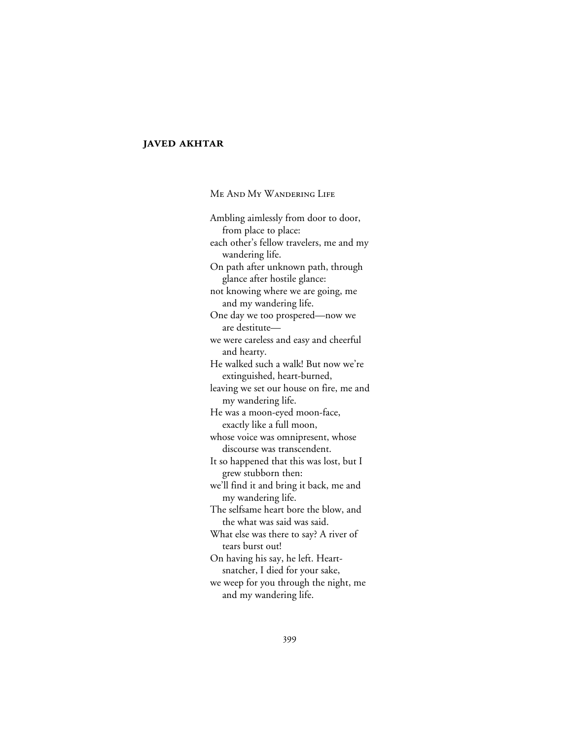## **JAVED AKHTAR**

ME AND MY WANDERING LIFE

Ambling aimlessly from door to door, from place to place: each other's fellow travelers, me and my wandering life. On path after unknown path, through glance after hostile glance: not knowing where we are going, me and my wandering life. One day we too prospered—now we are destitute we were careless and easy and cheerful and hearty. He walked such a walk! But now we're extinguished, heart-burned, leaving we set our house on fire, me and my wandering life. He was a moon-eyed moon-face, exactly like a full moon, whose voice was omnipresent, whose discourse was transcendent. It so happened that this was lost, but I grew stubborn then: we'll find it and bring it back, me and my wandering life. The selfsame heart bore the blow, and the what was said was said. What else was there to say? A river of tears burst out! On having his say, he left. Heartsnatcher, I died for your sake, we weep for you through the night, me and my wandering life.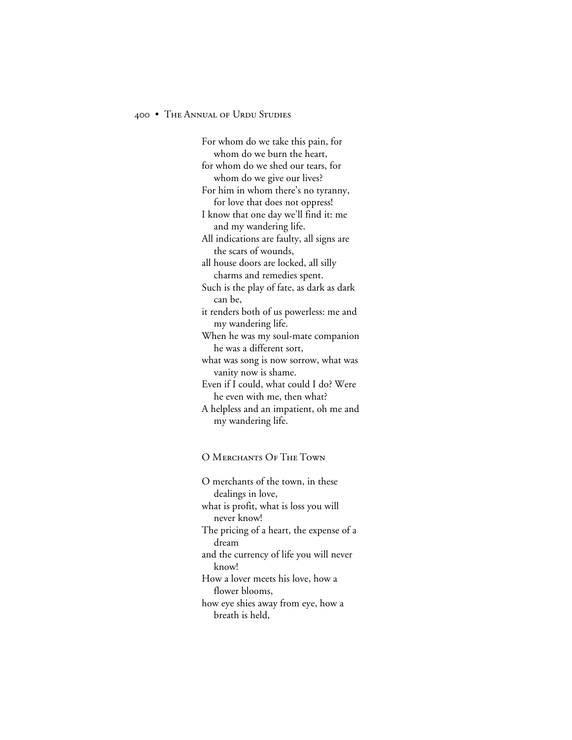## 400 • THE ANNUAL OF URDU STUDIES

For whom do we take this pain, for whom do we burn the heart, for whom do we shed our tears, for whom do we give our lives? For him in whom there's no tyranny, for love that does not oppress! I know that one day we'll find it: me and my wandering life. All indications are faulty, all signs are the scars of wounds, all house doors are locked, all silly charms and remedies spent. Such is the play of fate, as dark as dark can be, it renders both of us powerless: me and my wandering life. When he was my soul-mate companion he was a different sort, what was song is now sorrow, what was vanity now is shame. Even if I could, what could I do? Were he even with me, then what? A helpless and an impatient, oh me and my wandering life.

## O MERCHANTS OF THE TOWN

O merchants of the town, in these dealings in love, what is profit, what is loss you will never know! The pricing of a heart, the expense of a dream and the currency of life you will never know! How a lover meets his love, how a flower blooms, how eye shies away from eye, how a breath is held,